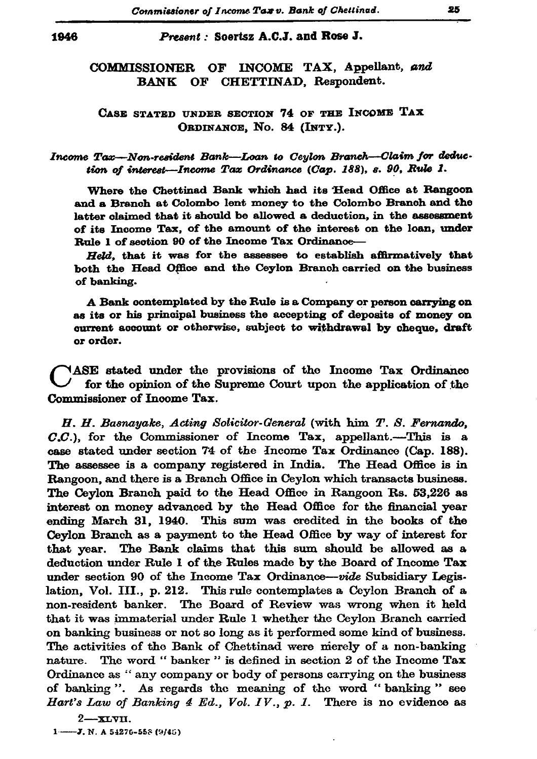## Present: Soertsz A.C.J. and Rose J.

OF INCOME TAX, Appellant, and **COMMISSIONER** BANK OF CHETTINAD, Respondent.

## CASE STATED UNDER SECTION 74 OF THE INCOME TAX ORDINANCE, No. 84 (INTY.).

## Income Tax-Non-resident Bank-Loan to Ceylon Branch-Claim for deduction of interest-Income Tax Ordinance (Cap. 188), s. 90, Rule 1.

Where the Chettinad Bank which had its Head Office at Rangoon and a Branch at Colombo lent money to the Colombo Branch and the latter claimed that it should be allowed a deduction, in the assessment of its Income Tax, of the amount of the interest on the loan, under Rule 1 of section 90 of the Income Tax Ordinance-

Held, that it was for the assessee to establish affirmatively that both the Head Office and the Ceylon Branch carried on the business of banking.

A Bank contemplated by the Rule is a Company or person carrying on as its or his principal business the accepting of deposits of money on current account or otherwise, subject to withdrawal by cheque, draft or order.

NASE stated under the provisions of the Income Tax Ordinance for the opinion of the Supreme Court upon the application of the Commissioner of Income Tax.

H. H. Basnayake, Acting Solicitor-General (with him T. S. Fernando,  $C.C.$ ), for the Commissioner of Income Tax, appellant.—This is a case stated under section 74 of the Income Tax Ordinance (Cap. 188). The assessee is a company registered in India. The Head Office is in Rangoon, and there is a Branch Office in Ceylon which transacts business. The Ceylon Branch paid to the Head Office in Rangoon Rs. 53,226 as interest on money advanced by the Head Office for the financial year ending March 31, 1940. This sum was credited in the books of the Ceylon Branch as a payment to the Head Office by way of interest for that year. The Bank claims that this sum should be allowed as a deduction under Rule 1 of the Rules made by the Board of Income Tax under section 90 of the Income Tax Ordinance-vide Subsidiary Legislation, Vol. III., p. 212. This rule contemplates a Ceylon Branch of a non-resident banker. The Board of Review was wrong when it held that it was immaterial under Rule 1 whether the Ceylon Branch carried on banking business or not so long as it performed some kind of business. The activities of the Bank of Chettinad were merely of a non-banking nature. The word "banker" is defined in section 2 of the Income Tax Ordinance as "any company or body of persons carrying on the business of banking". As regards the meaning of the word "banking" see Hart's Law of Banking 4 Ed., Vol. IV., p. 1. There is no evidence as

 $2 - xLv$ II.  $1 - 3$ , N. A 54276-558 (9/45) 25

1946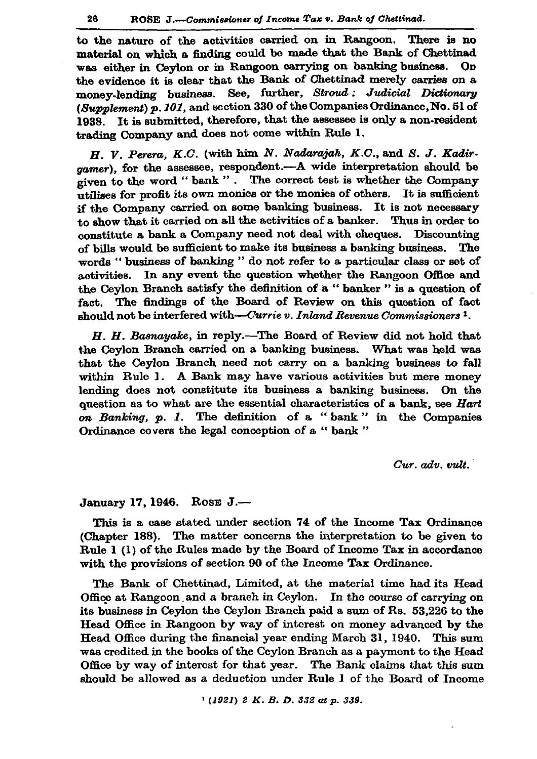to the nature of the activities carried on in Rangoon. There is no material on which a finding could be made that the Bank of Chettinad was either in Ceylon or in Rangoon carrying on banking business. On the evidence it is clear that the Bank of Chettinad merely carries on a money-lending business. See, further, Stroud: Judicial Dictionary (Supplement) p. 101, and section 330 of the Companies Ordinance. No. 51 of It is submitted, therefore, that the assessee is only a non-resident 1938. trading Company and does not come within Rule 1.

H. V. Perera, K.C. (with him N. Nadarajah, K.C., and S. J. Kadirgamer), for the assessee, respondent.---A wide interpretation should be given to the word "bank". The correct test is whether the Company utilises for profit its own monies or the monies of others. It is sufficient if the Company carried on some banking business. It is not necessary to show that it carried on all the activities of a banker. Thus in order to constitute a bank a Company need not deal with cheques. Discounting of bills would be sufficient to make its business a banking business. The words "business of banking" do not refer to a particular class or set of activities. In any event the question whether the Rangoon Office and the Cevlon Branch satisfy the definition of a "banker" is a question of fact. The findings of the Board of Review on this question of fact should not be interfered with—Currie v. Inland Revenue Commissioners<sup>1</sup>.

H. H. Basnayake, in reply.—The Board of Review did not hold that the Ceylon Branch carried on a banking business. What was held was that the Ceylon Branch need not carry on a banking business to fall within Rule 1. A Bank may have various activities but mere money lending does not constitute its business a banking business. On the question as to what are the essential characteristics of a bank, see Hart on Banking, p. 1. The definition of a "bank" in the Companies Ordinance covers the legal conception of a "bank"

 $Cur.$   $adv.$   $vult.$ 

## January 17, 1946. Rose J.-

This is a case stated under section 74 of the Income Tax Ordinance (Chapter 188). The matter concerns the interpretation to be given to Rule 1 (1) of the Rules made by the Board of Income Tax in accordance with the provisions of section 90 of the Income Tax Ordinance.

The Bank of Chettinad, Limited, at the material time had its Head Office at Rangoon and a branch in Ceylon. In the course of carrying on its business in Ceylon the Ceylon Branch paid a sum of Rs. 53,226 to the Head Office in Rangoon by way of interest on money advanced by the Head Office during the financial year ending March 31, 1940. This sum was credited in the books of the Ceylon Branch as a payment to the Head Office by way of interest for that year. The Bank claims that this sum should be allowed as a deduction under Rule I of the Board of Income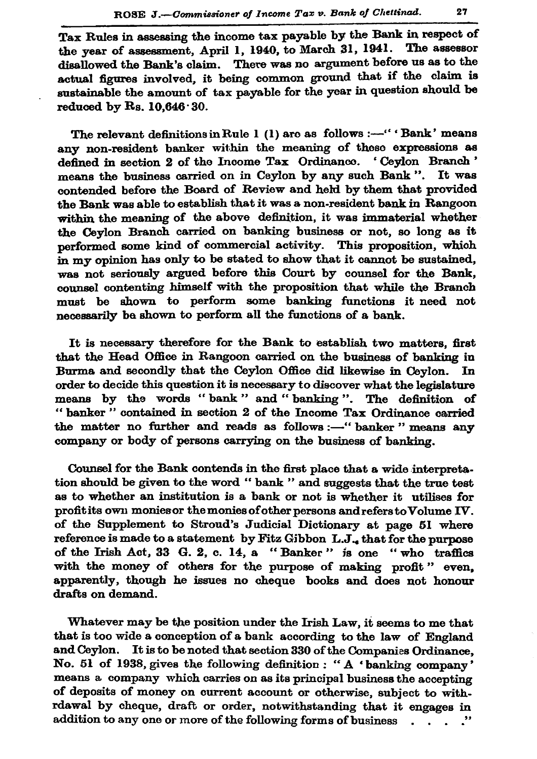Tax Rules in assessing the income tax payable by the Bank in respect of the year of assessment, April 1, 1940, to March 31, 1941. The assessor disallowed the Bank's claim. There was no argument before us as to the actual figures involved, it being common ground that if the claim is sustainable the amount of tax payable for the year in question should be reduced by Rs.  $10.646 \cdot 30$ .

The relevant definitions in Rule 1 (1) are as follows :---" 'Bank' means any non-resident banker within the meaning of these expressions as defined in section 2 of the Income Tax Ordinance. 'Ceylon Branch' means the business carried on in Ceylon by any such Bank". It was contended before the Board of Review and held by them that provided the Bank was able to establish that it was a non-resident bank in Rangoon within the meaning of the above definition, it was immaterial whether the Cevlon Branch carried on banking business or not, so long as it nerformed some kind of commercial activity. This proposition, which in my opinion has only to be stated to show that it cannot be sustained, was not seriously argued before this Court by counsel for the Bank, counsel contenting himself with the proposition that while the Branch must be shown to perform some banking functions it need not necessarily be shown to perform all the functions of a bank.

It is necessary therefore for the Bank to establish two matters, first that the Head Office in Rangoon carried on the business of banking in Burma and secondly that the Ceylon Office did likewise in Ceylon. In order to decide this question it is necessary to discover what the legislature means by the words "bank" and "banking". The definition of "banker" contained in section 2 of the Income Tax Ordinance carried the matter no further and reads as follows :- "banker" means any company or body of persons carrying on the business of banking.

Counsel for the Bank contends in the first place that a wide interpretation should be given to the word "bank" and suggests that the true test as to whether an institution is a bank or not is whether it utilises for profit its own monies or the monies of other persons and refers to Volume IV. of the Supplement to Stroud's Judicial Dictionary at page 51 where reference is made to a statement by Fitz Gibbon L.J., that for the purpose of the Irish Act, 33 G. 2, c. 14, a "Banker" is one "who traffics with the money of others for the purpose of making profit" even. apparently, though he issues no cheque books and does not honour drafts on demand.

Whatever may be the position under the Irish Law, it seems to me that that is too wide a conception of a bank according to the law of England and Ceylon. It is to be noted that section 330 of the Companies Ordinance, No. 51 of 1938, gives the following definition : "A 'banking company' means a company which carries on as its principal business the accepting of deposits of money on current account or otherwise, subject to withrdawal by cheque, draft or order, notwithstanding that it engages in addition to any one or more of the following forms of business . . .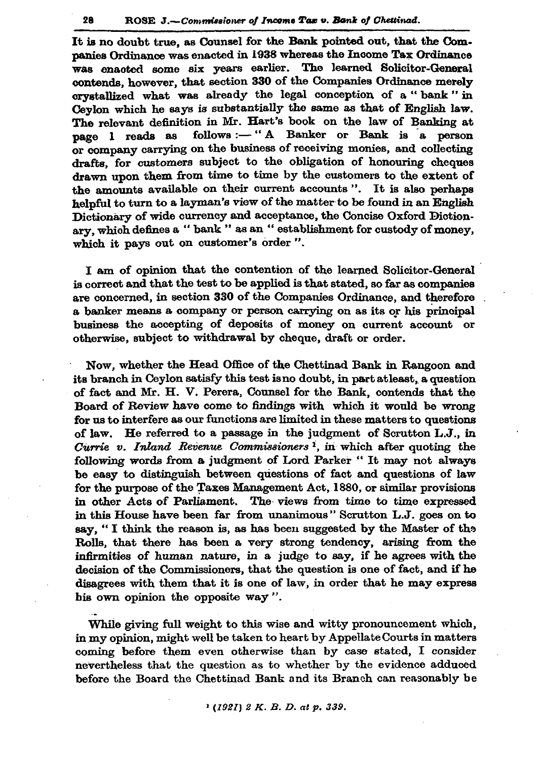It is no doubt true, as Counsel for the Bank pointed out, that the Companies Ordinance was enacted in 1938 whereas the Income Tax Ordinance was enacted some six years earlier. The learned Solicitor-General contends, however, that section 330 of the Companies Ordinance merely crystallized what was already the legal conception of a "bank" in Ceylon which he says is substantially the same as that of English law. The relevant definition in Mr. Hart's book on the law of Banking at follows :- "A Banker or Bank is a person page 1 reads as or company carrying on the business of receiving monies, and collecting drafts, for customers subject to the obligation of honouring cheques drawn upon them from time to time by the customers to the extent of the amounts available on their current accounts". It is also perhaps helpful to turn to a layman's view of the matter to be found in an English Dictionary of wide currency and acceptance, the Concise Oxford Dictionary, which defines a "bank" as an "establishment for custody of money, which it pays out on customer's order".

I am of opinion that the contention of the learned Solicitor-General is correct and that the test to be applied is that stated, so far as companies are concerned, in section 330 of the Companies Ordinance, and therefore a banker means a company or person carrying on as its or his principal business the accepting of deposits of money on current account or otherwise, subject to withdrawal by cheque, draft or order.

Now, whether the Head Office of the Chettinad Bank in Rangoon and its branch in Ceylon satisfy this test is no doubt, in part at least, a question of fact and Mr. H. V. Perera, Counsel for the Bank, contends that the Board of Review have come to findings with which it would be wrong for us to interfere as our functions are limited in these matters to questions of law. He referred to a passage in the judgment of Scrutton L.J., in Currie v. Inland Revenue Commissioners<sup>1</sup>, in which after quoting the following words from a judgment of Lord Parker " It may not always be easy to distinguish between questions of fact and questions of law for the purpose of the Taxes Management Act, 1880, or similar provisions in other Acts of Parliament. The views from time to time expressed in this House have been far from unanimous" Scrutton L.J. goes on to say, "I think the reason is, as has been suggested by the Master of the Rolls, that there has been a very strong tendency, arising from the infirmities of human nature, in a judge to say, if he agrees with the decision of the Commissioners, that the question is one of fact, and if he disagrees with them that it is one of law, in order that he may express his own opinion the opposite way".

While giving full weight to this wise and witty pronouncement which, in my opinion, might well be taken to heart by Appellate Courts in matters coming before them even otherwise than by case stated, I consider nevertheless that the question as to whether by the evidence adduced before the Board the Chettinad Bank and its Branch can reasonably be

 $(192I) 2 K. B. D. at p. 339.$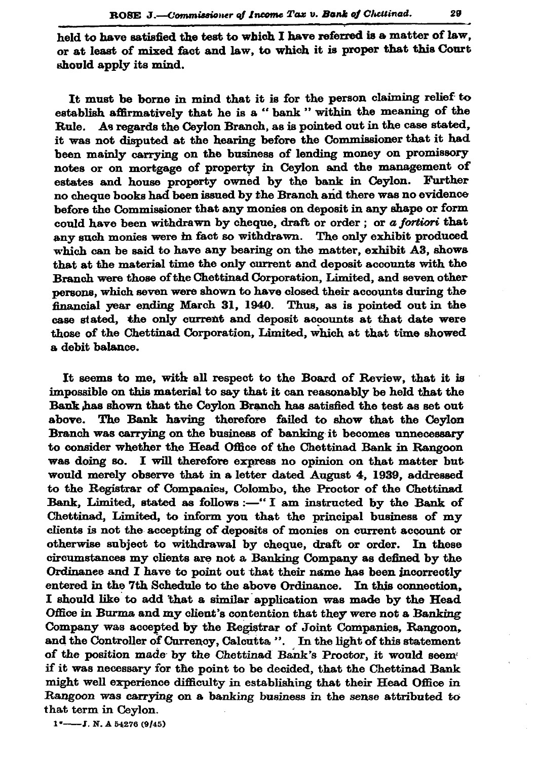held to have satisfied the test to which I have referred is a matter of law. or at least of mixed fact and law, to which it is proper that this Court should apply its mind.

It must be borne in mind that it is for the person claiming relief to establish affirmatively that he is a "bank " within the meaning of the Rule. As regards the Ceylon Branch, as is pointed out in the case stated, it was not disputed at the hearing before the Commissioner that it had been mainly carrying on the business of lending money on promissory notes or on mortgage of property in Ceylon and the management of estates and house property owned by the bank in Ceylon. Further no cheque books had been issued by the Branch and there was no evidence before the Commissioner that any monies on deposit in any shape or form could have been withdrawn by cheque, draft or order; or a fortiori that any such monies were in fact so withdrawn. The only exhibit produced which can be said to have any bearing on the matter, exhibit A3, shows that at the material time the only current and deposit accounts with the Branch were those of the Chettinad Corporation, Limited, and seven other persons, which seven were shown to have closed their accounts during the financial year ending March 31, 1940. Thus, as is pointed out in the case stated, the only current and deposit accounts at that date were those of the Chettinad Corporation, Limited, which at that time showed a debit balance.

It seems to me, with all respect to the Board of Review, that it is impossible on this material to say that it can reasonably be held that the Bank has shown that the Ceylon Branch has satisfied the test as set out above. The Bank having therefore failed to show that the Ceylon Branch was carrying on the business of banking it becomes unnecessary to consider whether the Head Office of the Chettinad Bank in Rangoon was doing so. I will therefore express no opinion on that matter but would merely observe that in a letter dated August 4, 1939, addressed to the Registrar of Companies, Colombo, the Proctor of the Chettinad Bank, Limited, stated as follows :- "I am instructed by the Bank of Chettinad, Limited, to inform you that the principal business of my clients is not the accepting of deposits of monies on current account or otherwise subject to withdrawal by cheque, draft or order. In these circumstances my clients are not a Banking Company as defined by the Ordinance and I have to point out that their name has been incorrectly entered in the 7th Schedule to the above Ordinance. In this connection, I should like to add that a similar application was made by the Head Office in Burma and my client's contention that they were not a Banking Company was accepted by the Registrar of Joint Companies, Rangoon, and the Controller of Currency, Calcutta ". In the light of this statement of the position made by the Chettinad Bank's Proctor, it would seem if it was necessary for the point to be decided, that the Chettinad Bank might well experience difficulty in establishing that their Head Office in Rangoon was carrying on a banking business in the sense attributed to that term in Ceylon.

 $1^*$ ——J. N. A 54276 (9/45)